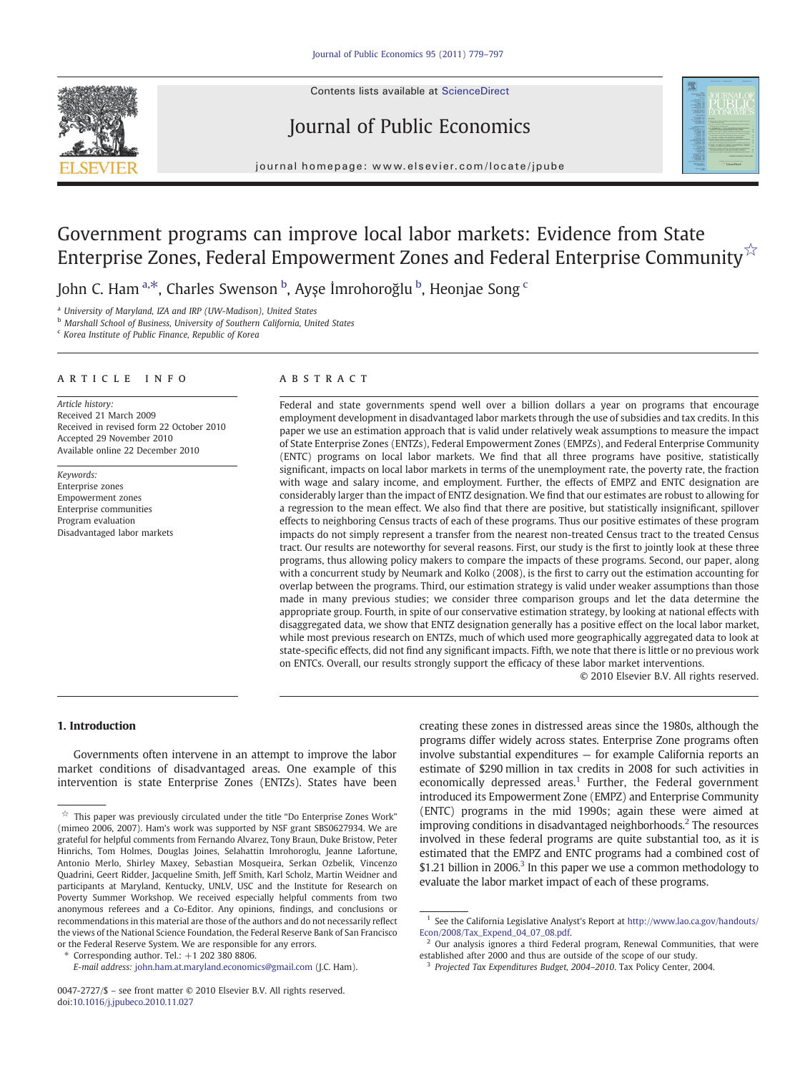Contents lists available at ScienceDirect





journal homepage: www.elsevier.com/locate/jpube

## Government programs can improve local labor markets: Evidence from State Enterprise Zones, Federal Empowerment Zones and Federal Enterprise Community  $\hat{X}$

John C. Ham <sup>a,\*</sup>, Charles Swenson <sup>b</sup>, Ayşe İmrohoroğlu <sup>b</sup>, Heonjae Song <sup>c</sup>

<sup>a</sup> University of Maryland, IZA and IRP (UW-Madison), United States

**b** Marshall School of Business, University of Southern California, United States

<sup>c</sup> Korea Institute of Public Finance, Republic of Korea

### article info abstract

Article history: Received 21 March 2009 Received in revised form 22 October 2010 Accepted 29 November 2010 Available online 22 December 2010

Keywords: Enterprise zones Empowerment zones Enterprise communities Program evaluation Disadvantaged labor markets

Federal and state governments spend well over a billion dollars a year on programs that encourage employment development in disadvantaged labor markets through the use of subsidies and tax credits. In this paper we use an estimation approach that is valid under relatively weak assumptions to measure the impact of State Enterprise Zones (ENTZs), Federal Empowerment Zones (EMPZs), and Federal Enterprise Community (ENTC) programs on local labor markets. We find that all three programs have positive, statistically significant, impacts on local labor markets in terms of the unemployment rate, the poverty rate, the fraction with wage and salary income, and employment. Further, the effects of EMPZ and ENTC designation are considerably larger than the impact of ENTZ designation. We find that our estimates are robust to allowing for a regression to the mean effect. We also find that there are positive, but statistically insignificant, spillover effects to neighboring Census tracts of each of these programs. Thus our positive estimates of these program impacts do not simply represent a transfer from the nearest non-treated Census tract to the treated Census tract. Our results are noteworthy for several reasons. First, our study is the first to jointly look at these three programs, thus allowing policy makers to compare the impacts of these programs. Second, our paper, along with a concurrent study by Neumark and Kolko (2008), is the first to carry out the estimation accounting for overlap between the programs. Third, our estimation strategy is valid under weaker assumptions than those made in many previous studies; we consider three comparison groups and let the data determine the appropriate group. Fourth, in spite of our conservative estimation strategy, by looking at national effects with disaggregated data, we show that ENTZ designation generally has a positive effect on the local labor market, while most previous research on ENTZs, much of which used more geographically aggregated data to look at state-specific effects, did not find any significant impacts. Fifth, we note that there is little or no previous work on ENTCs. Overall, our results strongly support the efficacy of these labor market interventions.

© 2010 Elsevier B.V. All rights reserved.

### 1. Introduction

Governments often intervene in an attempt to improve the labor market conditions of disadvantaged areas. One example of this intervention is state Enterprise Zones (ENTZs). States have been

E-mail address: [john.ham.at.maryland.economics@gmail.com](mailto:john.ham.at.maryland.economics@gmail.com) (J.C. Ham).

creating these zones in distressed areas since the 1980s, although the programs differ widely across states. Enterprise Zone programs often involve substantial expenditures — for example California reports an estimate of \$290 million in tax credits in 2008 for such activities in economically depressed areas.<sup>1</sup> Further, the Federal government introduced its Empowerment Zone (EMPZ) and Enterprise Community (ENTC) programs in the mid 1990s; again these were aimed at improving conditions in disadvantaged neighborhoods.<sup>2</sup> The resources involved in these federal programs are quite substantial too, as it is estimated that the EMPZ and ENTC programs had a combined cost of \$1.21 billion in 2006. $3$  In this paper we use a common methodology to evaluate the labor market impact of each of these programs.

 $\overrightarrow{x}$  This paper was previously circulated under the title "Do Enterprise Zones Work" (mimeo 2006, 2007). Ham's work was supported by NSF grant SBS0627934. We are grateful for helpful comments from Fernando Alvarez, Tony Braun, Duke Bristow, Peter Hinrichs, Tom Holmes, Douglas Joines, Selahattin Imrohoroglu, Jeanne Lafortune, Antonio Merlo, Shirley Maxey, Sebastian Mosqueira, Serkan Ozbelik, Vincenzo Quadrini, Geert Ridder, Jacqueline Smith, Jeff Smith, Karl Scholz, Martin Weidner and participants at Maryland, Kentucky, UNLV, USC and the Institute for Research on Poverty Summer Workshop. We received especially helpful comments from two anonymous referees and a Co-Editor. Any opinions, findings, and conclusions or recommendations in this material are those of the authors and do not necessarily reflect the views of the National Science Foundation, the Federal Reserve Bank of San Francisco or the Federal Reserve System. We are responsible for any errors.

<sup>⁎</sup> Corresponding author. Tel.: +1 202 380 8806.

<sup>0047-2727/\$</sup> – see front matter © 2010 Elsevier B.V. All rights reserved. doi:[10.1016/j.jpubeco.2010.11.027](http://dx.doi.org/10.1016/j.jpubeco.2010.11.027)

 $^{\rm 1}$  See the California Legislative Analyst's Report at [http://www.lao.ca.gov/handouts/](http://www.lao.ca.gov/handouts/Econ/2008/Tax_Expend_04_07_08.pdf) [Econ/2008/Tax\\_Expend\\_04\\_07\\_08.pdf.](http://www.lao.ca.gov/handouts/Econ/2008/Tax_Expend_04_07_08.pdf)

Our analysis ignores a third Federal program, Renewal Communities, that were established after 2000 and thus are outside of the scope of our study.

<sup>3</sup> Projected Tax Expenditures Budget, 2004–2010. Tax Policy Center, 2004.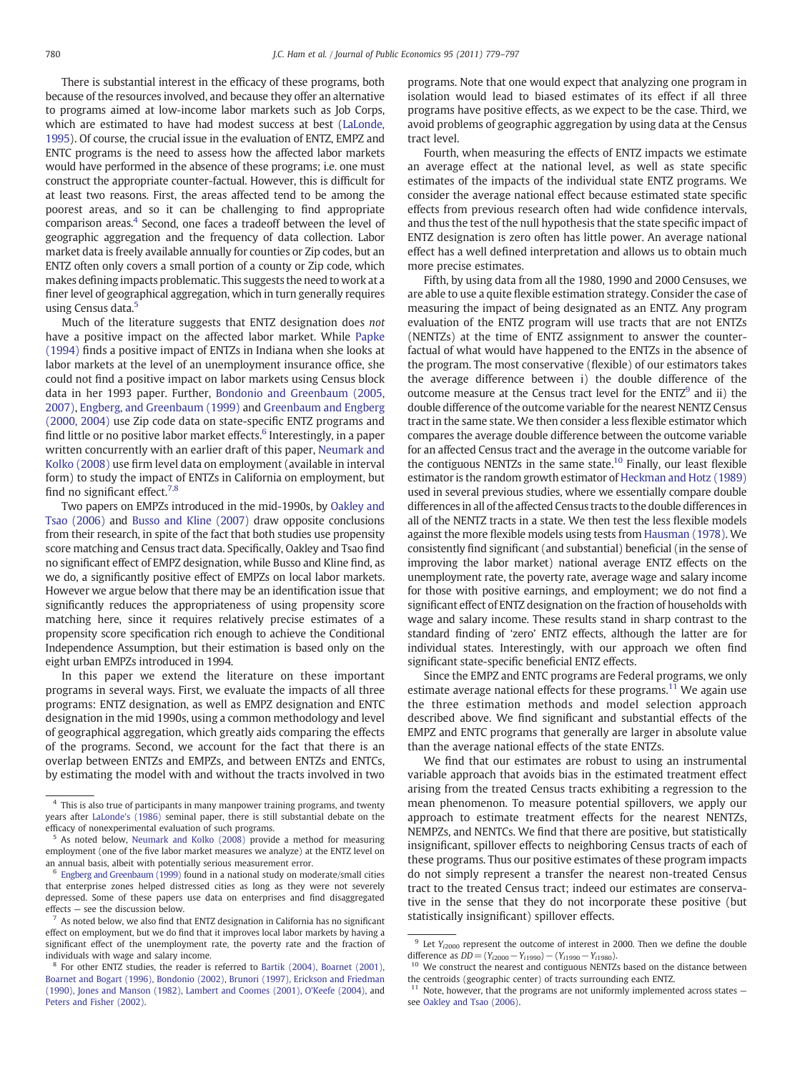There is substantial interest in the efficacy of these programs, both because of the resources involved, and because they offer an alternative to programs aimed at low-income labor markets such as Job Corps, which are estimated to have had modest success at best ([LaLonde,](#page--1-0) [1995\)](#page--1-0). Of course, the crucial issue in the evaluation of ENTZ, EMPZ and ENTC programs is the need to assess how the affected labor markets would have performed in the absence of these programs; i.e. one must construct the appropriate counter-factual. However, this is difficult for at least two reasons. First, the areas affected tend to be among the poorest areas, and so it can be challenging to find appropriate comparison areas.<sup>4</sup> Second, one faces a tradeoff between the level of geographic aggregation and the frequency of data collection. Labor market data is freely available annually for counties or Zip codes, but an ENTZ often only covers a small portion of a county or Zip code, which makes defining impacts problematic. This suggests the need to work at a finer level of geographical aggregation, which in turn generally requires using Census data.<sup>5</sup>

Much of the literature suggests that ENTZ designation does not have a positive impact on the affected labor market. While [Papke](#page--1-0) [\(1994\)](#page--1-0) finds a positive impact of ENTZs in Indiana when she looks at labor markets at the level of an unemployment insurance office, she could not find a positive impact on labor markets using Census block data in her 1993 paper. Further, [Bondonio and Greenbaum \(2005,](#page--1-0) [2007\)](#page--1-0), [Engberg, and Greenbaum \(1999\)](#page--1-0) and [Greenbaum and Engberg](#page--1-0) [\(2000, 2004\)](#page--1-0) use Zip code data on state-specific ENTZ programs and find little or no positive labor market effects.<sup>6</sup> Interestingly, in a paper written concurrently with an earlier draft of this paper, [Neumark and](#page--1-0) [Kolko \(2008\)](#page--1-0) use firm level data on employment (available in interval form) to study the impact of ENTZs in California on employment, but find no significant effect.<sup>7,8</sup>

Two papers on EMPZs introduced in the mid-1990s, by [Oakley and](#page--1-0) [Tsao \(2006\)](#page--1-0) and [Busso and Kline \(2007\)](#page--1-0) draw opposite conclusions from their research, in spite of the fact that both studies use propensity score matching and Census tract data. Specifically, Oakley and Tsao find no significant effect of EMPZ designation, while Busso and Kline find, as we do, a significantly positive effect of EMPZs on local labor markets. However we argue below that there may be an identification issue that significantly reduces the appropriateness of using propensity score matching here, since it requires relatively precise estimates of a propensity score specification rich enough to achieve the Conditional Independence Assumption, but their estimation is based only on the eight urban EMPZs introduced in 1994.

In this paper we extend the literature on these important programs in several ways. First, we evaluate the impacts of all three programs: ENTZ designation, as well as EMPZ designation and ENTC designation in the mid 1990s, using a common methodology and level of geographical aggregation, which greatly aids comparing the effects of the programs. Second, we account for the fact that there is an overlap between ENTZs and EMPZs, and between ENTZs and ENTCs, by estimating the model with and without the tracts involved in two programs. Note that one would expect that analyzing one program in isolation would lead to biased estimates of its effect if all three programs have positive effects, as we expect to be the case. Third, we avoid problems of geographic aggregation by using data at the Census tract level.

Fourth, when measuring the effects of ENTZ impacts we estimate an average effect at the national level, as well as state specific estimates of the impacts of the individual state ENTZ programs. We consider the average national effect because estimated state specific effects from previous research often had wide confidence intervals, and thus the test of the null hypothesis that the state specific impact of ENTZ designation is zero often has little power. An average national effect has a well defined interpretation and allows us to obtain much more precise estimates.

Fifth, by using data from all the 1980, 1990 and 2000 Censuses, we are able to use a quite flexible estimation strategy. Consider the case of measuring the impact of being designated as an ENTZ. Any program evaluation of the ENTZ program will use tracts that are not ENTZs (NENTZs) at the time of ENTZ assignment to answer the counterfactual of what would have happened to the ENTZs in the absence of the program. The most conservative (flexible) of our estimators takes the average difference between i) the double difference of the outcome measure at the Census tract level for the  $ENTZ<sup>9</sup>$  and ii) the double difference of the outcome variable for the nearest NENTZ Census tract in the same state. We then consider a less flexible estimator which compares the average double difference between the outcome variable for an affected Census tract and the average in the outcome variable for the contiguous NENTZs in the same state.<sup>10</sup> Finally, our least flexible estimator is the random growth estimator of [Heckman and Hotz \(1989\)](#page--1-0) used in several previous studies, where we essentially compare double differences in all of the affected Census tracts to the double differences in all of the NENTZ tracts in a state. We then test the less flexible models against the more flexible models using tests from [Hausman \(1978\).](#page--1-0) We consistently find significant (and substantial) beneficial (in the sense of improving the labor market) national average ENTZ effects on the unemployment rate, the poverty rate, average wage and salary income for those with positive earnings, and employment; we do not find a significant effect of ENTZ designation on the fraction of households with wage and salary income. These results stand in sharp contrast to the standard finding of 'zero' ENTZ effects, although the latter are for individual states. Interestingly, with our approach we often find significant state-specific beneficial ENTZ effects.

Since the EMPZ and ENTC programs are Federal programs, we only estimate average national effects for these programs.<sup>11</sup> We again use the three estimation methods and model selection approach described above. We find significant and substantial effects of the EMPZ and ENTC programs that generally are larger in absolute value than the average national effects of the state ENTZs.

We find that our estimates are robust to using an instrumental variable approach that avoids bias in the estimated treatment effect arising from the treated Census tracts exhibiting a regression to the mean phenomenon. To measure potential spillovers, we apply our approach to estimate treatment effects for the nearest NENTZs, NEMPZs, and NENTCs. We find that there are positive, but statistically insignificant, spillover effects to neighboring Census tracts of each of these programs. Thus our positive estimates of these program impacts do not simply represent a transfer the nearest non-treated Census tract to the treated Census tract; indeed our estimates are conservative in the sense that they do not incorporate these positive (but statistically insignificant) spillover effects.

 $4$  This is also true of participants in many manpower training programs, and twenty years after [LaLonde's \(1986\)](#page--1-0) seminal paper, there is still substantial debate on the efficacy of nonexperimental evaluation of such programs.

<sup>5</sup> As noted below, [Neumark and Kolko \(2008\)](#page--1-0) provide a method for measuring employment (one of the five labor market measures we analyze) at the ENTZ level on an annual basis, albeit with potentially serious measurement error.

<sup>6</sup> [Engberg and Greenbaum \(1999\)](#page--1-0) found in a national study on moderate/small cities that enterprise zones helped distressed cities as long as they were not severely depressed. Some of these papers use data on enterprises and find disaggregated effects — see the discussion below.

 $^7\,$  As noted below, we also find that ENTZ designation in California has no significant effect on employment, but we do find that it improves local labor markets by having a significant effect of the unemployment rate, the poverty rate and the fraction of individuals with wage and salary income.

<sup>8</sup> For other ENTZ studies, the reader is referred to [Bartik \(2004\), Boarnet \(2001\),](#page--1-0) [Boarnet and Bogart \(1996\), Bondonio \(2002\), Brunori \(1997\), Erickson and Friedman](#page--1-0) [\(1990\), Jones and Manson \(1982\), Lambert and Coomes \(2001\), O](#page--1-0)'Keefe (2004), and [Peters and Fisher \(2002\).](#page--1-0)

<sup>&</sup>lt;sup>9</sup> Let Y<sub>i2000</sub> represent the outcome of interest in 2000. Then we define the double difference as  $DD = (Y_{i2000} - Y_{i1990}) - (Y_{i1990} - Y_{i1980})$ .

<sup>&</sup>lt;sup>10</sup> We construct the nearest and contiguous NENTZs based on the distance between the centroids (geographic center) of tracts surrounding each ENTZ.

 $11$  Note, however, that the programs are not uniformly implemented across states  $$ see [Oakley and Tsao \(2006\).](#page--1-0)